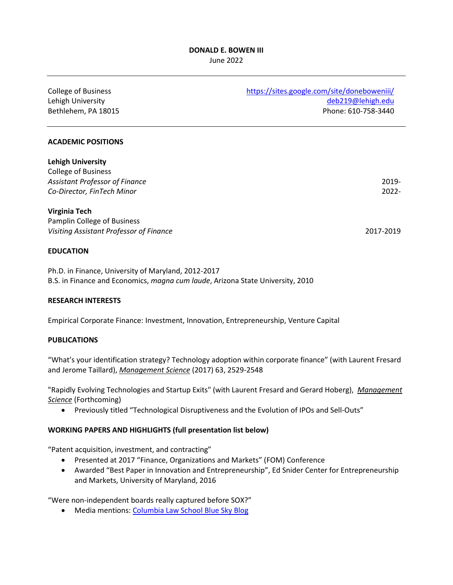#### **DONALD E. BOWEN III** June 2022

| <b>College of Business</b><br>Lehigh University<br>Bethlehem, PA 18015 | https://sites.google.com/site/doneboweniii/<br>deb219@lehigh.edu<br>Phone: 610-758-3440 |
|------------------------------------------------------------------------|-----------------------------------------------------------------------------------------|
| <b>ACADEMIC POSITIONS</b>                                              |                                                                                         |
| <b>Lehigh University</b>                                               |                                                                                         |
| <b>College of Business</b><br><b>Assistant Professor of Finance</b>    | 2019-                                                                                   |
| Co-Director, FinTech Minor                                             | $2022 -$                                                                                |
| <b>Virginia Tech</b>                                                   |                                                                                         |
| Pamplin College of Business                                            |                                                                                         |
| Visiting Assistant Professor of Finance                                | 2017-2019                                                                               |
| <b>EDUCATION</b>                                                       |                                                                                         |

Ph.D. in Finance, University of Maryland, 2012-2017 B.S. in Finance and Economics, *magna cum laude*, Arizona State University, 2010

## **RESEARCH INTERESTS**

Empirical Corporate Finance: Investment, Innovation, Entrepreneurship, Venture Capital

#### **PUBLICATIONS**

"What's your identification strategy? Technology adoption within corporate finance" (with Laurent Fresard and Jerome Taillard), *Management Science* (2017) 63, 2529-2548

"Rapidly Evolving Technologies and Startup Exits" (with Laurent Fresard and Gerard Hoberg), *Management Science* (Forthcoming)

• Previously titled "Technological Disruptiveness and the Evolution of IPOs and Sell-Outs"

#### **WORKING PAPERS AND HIGHLIGHTS (full presentation list below)**

"Patent acquisition, investment, and contracting"

- Presented at 2017 "Finance, Organizations and Markets" (FOM) Conference
- Awarded "Best Paper in Innovation and Entrepreneurship", Ed Snider Center for Entrepreneurship and Markets, University of Maryland, 2016

"Were non-independent boards really captured before SOX?"

• Media mentions: [Columbia Law School Blue Sky Blog](http://clsbluesky.law.columbia.edu/2017/08/07/were-non-independent-boards-really-captured-before-sarbanes-oxley/)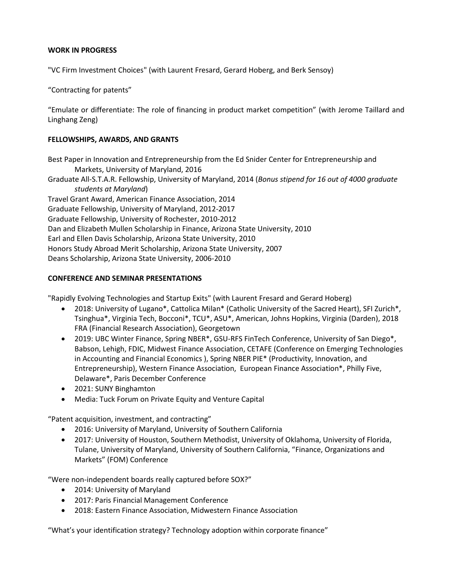## **WORK IN PROGRESS**

"VC Firm Investment Choices" (with Laurent Fresard, Gerard Hoberg, and Berk Sensoy)

"Contracting for patents"

"Emulate or differentiate: The role of financing in product market competition" (with Jerome Taillard and Linghang Zeng)

## **FELLOWSHIPS, AWARDS, AND GRANTS**

Best Paper in Innovation and Entrepreneurship from the Ed Snider Center for Entrepreneurship and Markets, University of Maryland, 2016

Graduate All-S.T.A.R. Fellowship, University of Maryland, 2014 (*Bonus stipend for 16 out of 4000 graduate students at Maryland*)

Travel Grant Award, American Finance Association, 2014 Graduate Fellowship, University of Maryland, 2012-2017 Graduate Fellowship, University of Rochester, 2010-2012 Dan and Elizabeth Mullen Scholarship in Finance, Arizona State University, 2010 Earl and Ellen Davis Scholarship, Arizona State University, 2010 Honors Study Abroad Merit Scholarship, Arizona State University, 2007 Deans Scholarship, Arizona State University, 2006-2010

## **CONFERENCE AND SEMINAR PRESENTATIONS**

"Rapidly Evolving Technologies and Startup Exits" (with Laurent Fresard and Gerard Hoberg)

- 2018: University of Lugano\*, Cattolica Milan\* (Catholic University of the Sacred Heart), SFI Zurich\*, Tsinghua\*, Virginia Tech, Bocconi\*, TCU\*, ASU\*, American, Johns Hopkins, Virginia (Darden), 2018 FRA (Financial Research Association), Georgetown
- 2019: UBC Winter Finance, Spring NBER\*, GSU-RFS FinTech Conference, University of San Diego\*, Babson, Lehigh, FDIC, Midwest Finance Association, CETAFE (Conference on Emerging Technologies in Accounting and Financial Economics ), Spring NBER PIE\* (Productivity, Innovation, and Entrepreneurship), Western Finance Association, European Finance Association\*, Philly Five, Delaware\*, Paris December Conference
- 2021: SUNY Binghamton
- Media: Tuck Forum on Private Equity and Venture Capital

"Patent acquisition, investment, and contracting"

- 2016: University of Maryland, University of Southern California
- 2017: University of Houston, Southern Methodist, University of Oklahoma, University of Florida, Tulane, University of Maryland, University of Southern California, "Finance, Organizations and Markets" (FOM) Conference

"Were non-independent boards really captured before SOX?"

- 2014: University of Maryland
- 2017: Paris Financial Management Conference
- 2018: Eastern Finance Association, Midwestern Finance Association

"What's your identification strategy? Technology adoption within corporate finance"